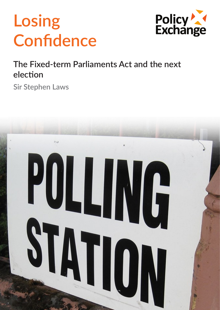# **Losing Confidence**



## **The Fixed-term Parliaments Act and the next election**

**Sir Stephen Laws**

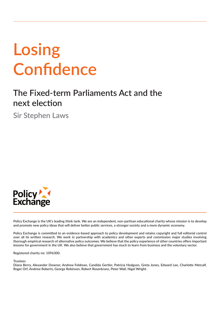# **Losing Confidence**

## **The Fixed-term Parliaments Act and the next election**

**Sir Stephen Laws**



**Policy Exchange is the UK's leading think tank. We are an independent, non-partisan educational charity whose mission is to develop and promote new policy ideas that will deliver better public services, a stronger society and a more dynamic economy.** 

**Policy Exchange is committed to an evidence-based approach to policy development and retains copyright and full editorial control over all its written research. We work in partnership with academics and other experts and commission major studies involving thorough empirical research of alternative policy outcomes. We believe that the policy experience of other countries offers important lessons for government in the UK. We also believe that government has much to learn from business and the voluntary sector.**

**Registered charity no: 1096300.**

**Trustees**

**Diana Berry, Alexander Downer, Andrew Feldman, Candida Gertler, Patricia Hodgson, Greta Jones, Edward Lee, Charlotte Metcalf, Roger Orf, Andrew Roberts, George Robinson, Robert Rosenkranz, Peter Wall, Nigel Wright.**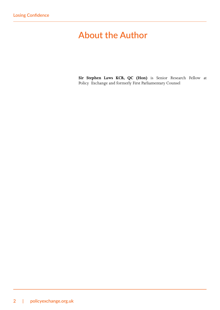## **About the Author**

**Sir Stephen Laws KCB, QC (Hon)** is Senior Research Fellow at Policy Exchange and formerly First Parliamentary Counsel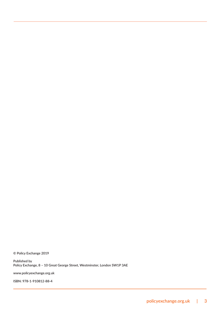**© Policy Exchange 2019**

**Published by Policy Exchange, 8 – 10 Great George Street, Westminster, London SW1P 3AE**

**www.policyexchange.org.uk**

**ISBN: 978-1-910812-88-4**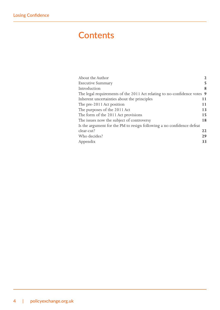## **Contents**

| About the Author                                                         |    |
|--------------------------------------------------------------------------|----|
| <b>Executive Summary</b>                                                 | 5  |
| Introduction                                                             | 8  |
| The legal requirements of the 2011 Act relating to no-confidence votes 9 |    |
| Inherent uncertainties about the principles                              | 11 |
| The pre-2011 Act position                                                | 11 |
| The purposes of the 2011 Act                                             | 13 |
| The form of the 2011 Act provisions                                      | 15 |
| The issues now the subject of controversy                                | 18 |
| Is the argument for the PM to resign following a no confidence defeat    |    |
| clear-cut?                                                               | 22 |
| Who decides?                                                             | 29 |
| Appendix                                                                 | 33 |
|                                                                          |    |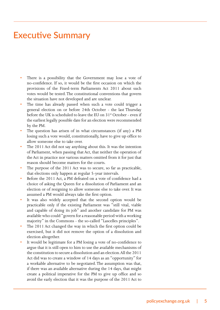### **Executive Summary**

- There is a possibility that the Government may lose a vote of no-confidence. If so, it would be the first occasion on which the provisions of the Fixed-term Parliaments Act 2011 about such votes would be tested. The constitutional conventions that govern the situation have not developed and are unclear.
- The time has already passed when such a vote could trigger a general election on or before 24th October - the last Thursday before the UK is scheduled to leave the EU on  $31<sup>st</sup>$  October - even if the earliest legally possible date for an election were recommended by the PM.
- The question has arisen of in what circumstances (if any) a PM losing such a vote would, constitutionally, have to give up office to allow someone else to take over.
- The 2011 Act did not say anything about this. It was the intention of Parliament, when passing that Act, that neither the operation of the Act in practice nor various matters omitted from it for just that reason should become matters for the courts.
- The purpose of the 2011 Act was to secure, so far as practicable, that elections only happen at regular 5-year intervals.
- Before the 2011 Act, a PM defeated on a vote of confidence had a choice of asking the Queen for a dissolution of Parliament and an election or of resigning to allow someone else to take over. It was assumed a PM would always take the first option.
- It was also widely accepted that the second option would be practicable only if the existing Parliament was "still vital, viable and capable of doing its job" and another candidate for PM was available who could "govern for a reasonable period with a working majority" in the Commons - the so-called "Lascelles principles".
- The 2011 Act changed the way in which the first option could be exercised, but it did not remove the option of a dissolution and election altogether.
- It would be legitimate for a PM losing a vote of no-confidence to argue that it is still open to him to use the available mechanisms of the constitution to secure a dissolution and an election. All the 2011 Act did was to create a window of 14 days as an "opportunity" for a workable alternative to be negotiated. The assumption was that, if there was an available alternative during the 14 days, that might create a political imperative for the PM to give up office and so avoid the early election that it was the purpose of the 2011 Act to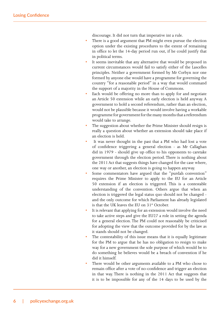discourage. It did not turn that imperative int a rule.

- There is a good argument that PM might even pursue the election option under the existing procedures to the extent of remaining in office to let the 14-day period run out, if he could justify that in political terms.
- It seems inevitable that any alternative that would be proposed in current circumstances would fail to satisfy either of the Lascelles principles. Neither a government formed by Mr Corbyn nor one formed by anyone else would have a programme for governing the country "for a reasonable period" in a way that would command the support of a majority in the House of Commons.
- Each would be offering no more than to apply for and negotiate an Article 50 extension while an early election is held anyway. A government to hold a second referendum, rather than an election, would not be plausible because it would involve having a workable programme for government for the many months that a referendum would take to arrange.
- The suggestion about whether the Prime Minister should resign is really a question about whether an extension should take place if an election is held.
- It was never thought in the past that a PM who had lost a vote of confidence triggering a general election - as Mr Callaghan did in 1979 - should give up office to his opponents to caretake government through the election period. There is nothing about the 2011 Act that suggests things have changed for the case where, one way or another, an election is going to happen anyway.
- Some commentators have argued that the "purdah convention" requires the Prime Minister to apply to the EU for an Article 50 extension if an election is triggered. This is a contestable understanding of the convention. Others argue that when an election is triggered the legal status quo should not be changed and the only outcome for which Parliament has already legislated is that the UK leaves the EU on  $31<sup>st</sup>$  October.
- It is relevant that applying for an extension would involve the need to take active steps and give the EU27 a role in setting the agenda for a general election. The PM could not reasonably be criticised for adopting the view that the outcome provided for by the law as it stands should not be changed.
- The contestability of this issue means that it is equally legitimate for the PM to argue that he has no obligation to resign to make way for a new government the sole purpose of which would be to do something he believes would be a breach of convention if he did it himself.
- There would be other arguments available to a PM who chose to remain office after a vote of no-confidence and trigger an election in that way. There is nothing in the 2011 Act that suggests that it is to be impossible for any of the 14 days to be used by the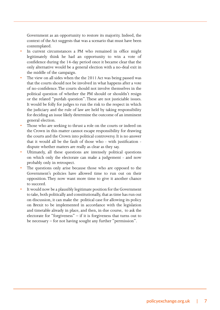Government as an opportunity to restore its majority. Indeed, the context of the Act suggests that was a scenario that must have been contemplated.

- In current circumstances a PM who remained in office might legitimately think he had an opportunity to win a vote of confidence during the 14-day period once it became clear that the only alternative would be a general election with a no-deal exit in the middle of the campaign.
- The view on all sides when the the 2011 Act was being passed was that the courts should not be involved in what happens after a vote of no-confidence. The courts should not involve themselves in the political question of whether the PM should or shouldn't resign or the related "purdah question". These are not justiciable issues. It would be folly for judges to run the risk to the respect in which the judiciary and the rule of law are held by taking responsibility for deciding an issue likely determine the outcome of an imminent general election.
- Those who are seeking to thrust a role on the courts or indeed on the Crown in this matter cannot escape responsibility for drawing the courts and the Crown into political controversy. It is no answer that it would all be the fault of those who - with justification dispute whether matters are really as clear as they say.
- Ultimately, all these questions are intensely political questions on which only the electorate can make a judgement - and now probably only in retrospect.
- The questions only arise because those who are opposed to the Government's policies have allowed time to run out on their opposition. They now want more time to give it another chance to succeed.
- It would now be a plausibly legitimate position for the Government to take, both politically and constitutionally, that as time has run out on discussion, it can make the political case for allowing its policy on Brexit to be implemented in accordance with the legislation and timetable already in place, and then, in due course, to ask the electorate for "forgiveness" – if it is forgiveness that turns out to be necessary – for not having sought any further "permission".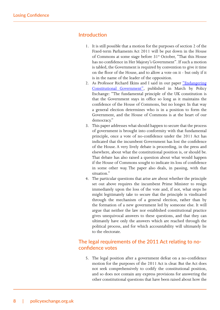#### **Introduction**

- 1. It is still possible that a motion for the purposes of section 2 of the Fixed-term Parliaments Act 2011 will be put down in the House of Commons at some stage before 31<sup>st</sup> October, "That this House has no confidence in Her Majesty's Government". If such a motion is tabled, the Government is required by convention to give it time on the floor of the House, and to allow a vote on it - but only if it is in the name of the leader of the opposition.
- 2. As Professor Richard Ekins and I said in our paper "Endangering Constitutional Government", published in March by Policy Exchange: "The fundamental principle of the UK constitution is that the Government stays in office so long as it maintains the confidence of the House of Commons, but no longer. In that way a general election determines who is in a position to form the Government, and the House of Commons is at the heart of our democracy."
- 3. This paper addresses what should happen to secure that the process of government is brought into conformity with that fundamental principle, once a vote of no-confidence under the 2011 Act has indicated that the incumbent Government has lost the confidence of the House. A very lively debate is proceeding, in the press and elsewhere, about what the constitutional position is, or should be. That debate has also raised a question about what would happen if the House of Commons sought to indicate its loss of confidence in some other way. The paper also deals, in passing, with that situation."
- 4. The particular questions that arise are about whether the principle set out above requires the incumbent Prime Minister to resign immediately upon the loss of the vote and, if not, what steps he might legitimately take to secure that the principle is vindicated through the mechanism of a general election, rather than by the formation of a new government led by someone else. It will argue that neither the law nor established constitutional practice gives unequivocal answers to these questions, and that they can ultimately have only the answers which are reached through the political process, and for which accountability will ultimately lie to the electorate.

#### **The legal requirements of the 2011 Act relating to noconfidence votes**

5. The legal position after a government defeat on a no-confidence motion for the purposes of the 2011 Act is clear. But the Act does not seek comprehensively to codify the constitutional position, and so does not contain any express provisions for answering the other constitutional questions that have been raised about how the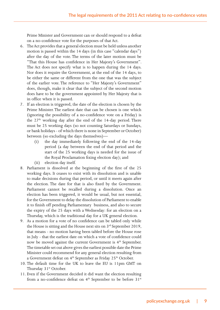Prime Minister and Government can or should respond to a defeat on a no-confidence vote for the purposes of that Act.

- 6. The Act provides that a general election must be held unless another motion is passed within the 14 days (in this case "calendar days") after the day of the vote. The terms of the later motion must be "That this House has confidence in Her Majesty's Government". The Act does not specify what is to happen during the 14 days. Nor does it require the Government, at the end of the 14 days, to be either the same or different from the one that was the subject of the earlier vote. The reference to "Her Majesty's Government" does, though, make it clear that the subject of the second motion does have to be the government appointed by Her Majesty that is in office when it is passed.
- 7. If an election is triggered, the date of the election is chosen by the Prime Minister. The earliest date that can be chosen is one which (ignoring the possibility of a no-confidence vote on a Friday) is the  $27<sup>th</sup>$  working day after the end of the 14-day period. There must be 25 working days (so not counting Saturdays or Sundays, or bank holidays - of which there is none in September or October) between (so excluding the days themselves)—
	- (i) the day immediately following the end of the 14-day period (a day between the end of that period and the start of the 25 working days is needed for the issue of the Royal Proclamation fixing election day); and
	- (ii) election day itself.
- 8. Parliament is dissolved at the beginning of the first of the 25 working days. It ceases to exist with its dissolution and is unable to make decisions during that period, or until it meets again after the election. The date for that is also fixed by the Government. Parliament cannot be recalled during a dissolution. Once an election has been triggered, it would be usual, but not essential, for the Government to delay the dissolution of Parliament to enable it to finish off pending Parliamentary business, and also to secure the expiry of the 25 days with a Wednesday: for an election on a Thursday, which is the traditional day for a UK general election.
- 9. As a motion for a vote of no confidence can be tabled only while the House is sitting and the House next sits on 3<sup>rd</sup> September 2019, that means - no motion having been tabled before the House rose in July - that the earliest date on which a vote of confidence could now be moved against the current Government is 4<sup>th</sup> September. The timetable set out above gives the earliest possible date the Prime Minister could recommend for any general election resulting from a Government defeat on 4<sup>th</sup> September as Friday 25<sup>th</sup> October.
- 10. The default time for the UK to leave the EU is 11pm GMT on Thursday 31<sup>st</sup> October.
- 11. Even if the Government decided it did want the election resulting from a no-confidence defeat on 4<sup>th</sup> September to be before 31<sup>st</sup>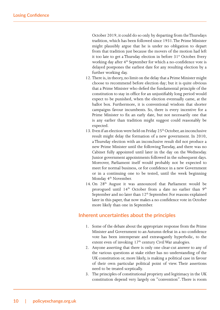October 2019, it could do so only by departing from the Thursdays tradition, which has been followed since 1931. The Prime Minister might plausibly argue that he is under no obligation to depart from that tradition just because the movers of the motion had left it too late to get a Thursday election in before 31<sup>st</sup> October. Every working day after 4<sup>th</sup> September for which a no-confidence vote is delayed postpones the earliest date for any resulting election by a further working day.

- 12. There is, in theory, no limit on the delay that a Prime Minister might choose to recommend before election day; but it is quite obvious that a Prime Minister who defied the fundamental principle of the constitution to stay in office for an unjustifiably long period would expect to be punished, when the election eventually came, at the ballot box. Furthermore, it is conventional wisdom that shorter campaigns favour incumbents. So, there is every incentive for a Prime Minister to fix an early date, but not necessarily one that is any earlier than tradition might suggest could reasonably be expected.
- 13. Even if an election were held on Friday 25<sup>th</sup> October, an inconclusive result might delay the formation of a new government. In 2010, a Thursday election with an inconclusive result did not produce a new Prime Minister until the following Tuesday, and there was no Cabinet fully appointed until later in the day on the Wednesday. Junior government appointments followed in the subsequent days. Moreover, Parliament itself would probably not be expected to meet for normal business, or for confidence in a new Government or in a continuing one to be tested, until the week beginning Monday 4<sup>th</sup> November.
- 14. On 28<sup>th</sup> August it was announced that Parliament would be prorogued until  $14<sup>th</sup>$  October from a date no earlier than  $9<sup>th</sup>$ September and no later than  $12<sup>th</sup>$  September. For reasons explained later in this paper, that now makes a no confidence vote in October more likely than one in September.

#### **Inherent uncertainties about the principles**

- 1. Some of the debate about the appropriate response from the Prime Minister and Government to an Autumn defeat in a no-confidence vote has been intemperate and extravagantly hyperbolic, to the extent even of invoking  $17<sup>th</sup>$  century Civil War analogies.
- 2. Anyone asserting that there is only one clear-cut answer to any of the various questions at stake either has no understanding of the UK constitution or, more likely, is making a political case in favour of their own particular political point of view. Their assertions need to be treated sceptically.
- 3. The principles of constitutional propriety and legitimacy in the UK constitution depend very largely on "convention". There is room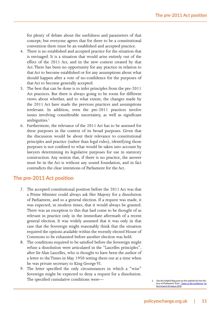for plenty of debate about the usefulness and parameters of that concept; but everyone agrees that for there to be a constitutional convention there must be an established and accepted practice.

- 4. There is no established and accepted practice for the situation that is envisaged. It is a situation that would arise entirely out of the effect of the 2011 Act, and in the new context created by that Act. There has been no opportunity for any practice in relation to that Act to become established or for any assumptions about what should happen after a vote of no-confidence for the purposes of that Act to become generally accepted.
- 5. The best that can be done is to infer principles from the pre-2011 Act practices. But there is always going to be room for different views about whether, and to what extent, the changes made by the 2011 Act have made the previous practices and assumptions irrelevant. In addition, even the pre-2011 practices involve issues involving considerable uncertainty, as well as significant ambiguities.<sup>1</sup>
- 6. Furthermore, the relevance of the 2011 Act has to be assessed for these purposes in the context of its broad purposes. Given that the discussion would be about their relevance to constitutional principles and practice (rather than legal rules), identifying those purposes is not confined to what would be taken into account by lawyers determining its legislative purposes for use in statutory construction. Any notion that, if there is no practice, the answer must be in the Act is without any sound foundation, and in fact contradicts the clear intentions of Parliament for the Act.

#### **The pre-2011 Act position**

- 7. The accepted constitutional position before the 2011 Act was that a Prime Minister could always ask Her Majesty for a dissolution of Parliament, and so a general election. If a request was made, it was expected, in modern times, that it would always be granted. There was an exception to this that had come to be thought of as relevant in practice only in the immediate aftermath of a recent general election. It was widely assumed that it was only in that case that the Sovereign might reasonably think that the situation required the options available within the recently elected House of Commons to be exhausted before another election was held.
- 8. The conditions required to be satisfied before the Sovereign might refuse a dissolution were articulated in the "Lascelles principles", after Sir Alan Lascelles, who is thought to have been the author of a letter to the Times in May 1950 setting them out at a time when he was private secretary to King George VI.
- 9. The letter specified the only circumstances in which a "wise" Sovereign might be expected to deny a request for a dissolution. The specified cumulative conditions were—**<sub>1. See the helpful blog post on the website for the His-</sub>**

**tory of Parliament Trust.** "Votes of No-confidence" by **20 August 2019**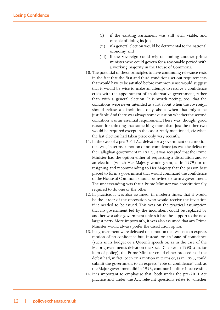- (i) if the existing Parliament was still vital, viable, and capable of doing its job,
- (ii) if a general election would be detrimental to the national economy, and
- (iii) if the Sovereign could rely on finding another prime minister who could govern for a reasonable period with a working majority in the House of Commons.
- 10. The potential of these principles to have continuing relevance rests in the fact that the first and third conditions set out requirements that would have to be satisfied before common sense would suggest that it would be wise to make an attempt to resolve a confidence crisis with the appointment of an alternative government, rather than with a general election. It is worth noting, too, that the conditions were never intended as a list about when the Sovereign should refuse a dissolution, only about when that might be justifiable. And there was always some question whether the second condition was an essential requirement. There was, though, good reason for thinking that something more than just the other two would be required except in the case already mentioned, viz when the last election had taken place only very recently.
- 11. In the case of a pre-2011 Act defeat for a government on a motion that was, in terms, a motion of no-confidence (as was the defeat of the Callaghan government in 1979), it was accepted that the Prime Minister had the option either of requesting a dissolution and so an election (which Her Majesty would grant, as in 1979) or of resigning and recommending to Her Majesty that the person best placed to form a government that would command the confidence of the House of Commons should be invited to form a government. The understanding was that a Prime Minister was constitutionally required to do one or the other.
- 12. In practice, it was also assumed, in modern times, that it would be the leader of the opposition who would receive the invitation if it needed to be issued. This was on the practical assumption that no government led by the incumbent could be replaced by another workable government unless it had the support to the next largest party. More importantly, it was also assumed that any Prime Minister would always prefer the dissolution option.
- 13. If a government were defeated on a motion that was not an express motion of no confidence but, instead, on an **issue** of confidence (such as its budget or a Queen's speech or, as in the case of the Major government's defeat on the Social Chapter in 1993, a major item of policy), the Prime Minister could either proceed as if the defeat had, in fact, been on a motion in terms or, as in 1993, could submit the government to an express "vote of confidence" and, as the Major government did in 1993, continue in office if successful.
- 14. It is important to emphasise that, both under the pre-2011 Act practice and under the Act, relevant questions relate to whether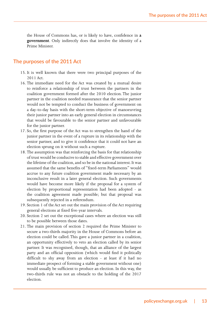the House of Commons has, or is likely to have, confidence in **a government**. Only indirectly does that involve the identity of a Prime Minister.

#### **The purposes of the 2011 Act**

- 15. It is well known that there were two principal purposes of the 2011 Act.
- 16. The immediate need for the Act was created by a mutual desire to reinforce a relationship of trust between the partners in the coalition government formed after the 2010 election. The junior partner in the coalition needed reassurance that the senior partner would not be tempted to conduct the business of government on a day-to-day basis with the short-term objective of manoeuvring their junior partner into an early general election in circumstances that would be favourable to the senior partner and unfavourable for the junior partner.
- 17. So, the first purpose of the Act was to strengthen the hand of the junior partner in the event of a rupture in its relationship with the senior partner, and to give it confidence that it could not have an election sprung on it without such a rupture.
- 18. The assumption was that reinforcing the basis for that relationship of trust would be conducive to stable and effective government over the lifetime of the coalition, and so be in the national interest. It was assumed that the same benefits of "fixed-term Parliaments" would accrue to any future coalition government made necessary by an inconclusive result in a later general election. Such governments would have become more likely if the proposal for a system of election by proportional representation had been adopted - as the coalition agreement made possible; but that proposal was subsequently rejected in a referendum.
- 19. Section 1 of the Act set out the main provision of the Act requiring general elections at fixed five-year intervals.
- 20. Section 2 set out the exceptional cases where an election was still to be possible between those dates.
- 21. The main provision of section 2 required the Prime Minister to secure a two-thirds majority in the House of Commons before an election could be called. This gave a junior partner in a coalition, an opportunity effectively to veto an election called by its senior partner. It was recognised, though, that an alliance of the largest party and an official opposition (which would find it politically difficult to shy away from an election - at least if it had no immediate prospect of forming a stable government without one) would usually be sufficient to produce an election. In this way, the two-thirds rule was not an obstacle to the holding of the 2017 election.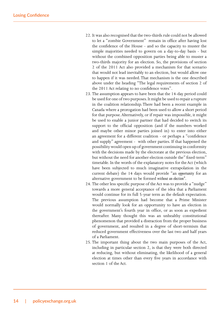- 22. It was also recognised that the two-thirds rule could not be allowed to let a "zombie Government" remain in office after having lost the confidence of the House - and so the capacity to muster the simple majorities needed to govern on a day-to-day basis - but without the combined opposition parties being able to muster a two-thirds majority for an election. So, the provisions of section 2 of the 2011 Act also provided a mechanism for that scenario that would not lead inevitably to an election, but would allow one to happen if it was needed. That mechanism is the one described above under the heading "The legal requirements of section 2 of the 2011 Act relating to no confidence votes".
- 23. The assumption appears to have been that the 14-day period could be used for one of two purposes. It might be used to repair a rupture in the coalition relationship. There had been a recent example in Canada where a prorogation had been used to allow a short period for that purpose. Alternatively, or if repair was impossible, it might be used to enable a junior partner that had decided to switch its support to the official opposition (and if the numbers worked and maybe other minor parties joined in) to enter into either an agreement for a different coalition - or perhaps a "confidence and supply" agreement - with other parties. If that happened the possibility would open up of government continuing in conformity with the decisions made by the electorate at the previous election, but without the need for another election outside the" fixed-term" timetable. In the words of the explanatory notes for the Act (which have been subjected to much imaginative extrapolation in the current debate) the 14 days would provide "an *opportunity* for an alternative government to be formed *without an election".*
- 24. The other less specific purpose of the Act was to provide a "nudge" towards a more general acceptance of the idea that a Parliament would continue for its full 5-year term as the default expectation. The previous assumption had become that a Prime Minister would normally look for an opportunity to have an election in the government's fourth year in office, or as soon as expedient thereafter. Many thought this was an unhealthy constitutional phenomenon that provided a distraction from the proper business of government, and resulted in a degree of short-termism that reduced government effectiveness over the last two and half years of a Parliament.
- 25. The important thing about the two main purposes of the Act, including in particular section 2, is that they were both directed at reducing, but without eliminating, the likelihood of a general election at times other than every five years in accordance with section 1 of the Act.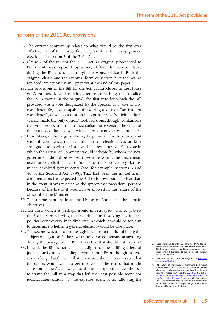#### **The form of the 2011 Act provisions**

- 26. The current controversy relates to what would be the first ever effective use of the no-confidence procedure for "early general elections" in section 2 of the 2011 Act.
- 27. Clause 2 of the Bill for the 2011 Act, as originally presented to Parliament, was replaced by a very differently worded clause during the Bill's passage through the House of Lords. Both the original clause and the eventual form of section 2 of the Act, as replaced, are set out in an Appendix at the end of this paper.
- 28. The provisions in the Bill for the Act, as introduced in the House of Commons, looked much closer to something that recalled the 1993 events. In the original, the first vote for which the Bill provided was a vote designated by the Speaker as a vote of noconfidence. So, it was capable of covering a vote on "an issue of confidence", as well as a motion in express terms (which the final version made the only option). Both versions, though, contained a two-vote process and thus a mechanism for reversing the effect of the first no-confidence vote with a subsequent vote of confidence.
- 29. In addition, in the original clause, the provision for the subsequent vote of confidence that would stop an election was at least ambiguous as to whether it allowed an "investiture vote" - a vote in which the House of Commons would indicate by whom the new government should be led. An investiture vote is the mechanism used for establishing the confidence of the devolved legislatures in the devolved governments (see, for example, sections 3 and 46 of the Scotland Act 1998). That had been the model many commentators had expected the Bill to follow; but it is clear that, in the event, it was rejected as the appropriate precedent, perhaps because of the hiatus it would have allowed in the tenure of the office of Prime Minister<sup>2</sup>.
- 30. The amendment made in the House of Lords had three main objectives<sup>3</sup>.
- 31. The first, which is perhaps ironic in retrospect, was to protect the Speaker from having to make decisions involving any intense political controversy, including one in which it would be for him to determine whether a general election would be take place.
- 32. The second was to protect the legislation from the risk of being the subject of litigation. If there was a universal consensus on anything during the passage of the Bill, it was that that should not happen.<sup>4</sup>
- 33. Indeed, the Bill is perhaps a paradigm for the chilling effect of judicial activism on policy formulation. Even though it was acknowledged at the time that it was just about inconceivable that the courts would wish to get involved in the issues that might arise under the Act, it was also thought important, nevertheless, to frame the Bill in a way that left the least possible scope for judicial intervention - at the expense, even, of not allowing the
- **2. Sections 3 and 46 of the Scotland Act 1998, for example, allow the post of First Minister to remain un-filled for a period of at least 28 days and conceivably much longer if the failure to appoint a First Minister results in an election.**
- **3. See the debates at Report Stage in the** House of Lords on 16 May 2011
- **4. The Clerk of the House of Commons had raised specific concerns that the Bill as presented "could allow the courts to question aspects of the House's internal proceedings". See the** report on the Bill of the House of Commons Select Committee on Political and Constitutional Reform Committee**, 9th September 2010. He reiterated this advice and it is referred to in col 1050 of the Lords Report Stage debate mentioned in the previous footnote.**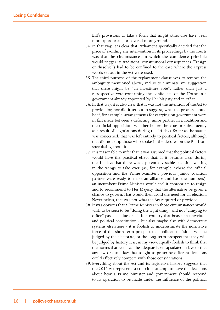Bill's provisions to take a form that might otherwise have been more appropriate, or covered more ground.

- 34. In that way, it is clear that Parliament specifically decided that the price of avoiding any intervention in its proceedings by the courts was that the circumstances in which the confidence principle would trigger its traditional constitutional consequences ("resign or dissolve") had to be confined to the case where the express words set out in the Act were used.
- 35. The third purpose of the replacement clause was to remove the ambiguity mentioned above, and so to eliminate any suggestion that there might be "an investiture vote", rather than just a retrospective vote confirming the confidence of the House in a government already appointed by Her Majesty and in office.
- 36. In that way, it is also clear that it was not the intention of the Act to provide for, nor did it set out to suggest, what the process should be if, for example, arrangements for carrying on government were in fact made between a defecting junior partner in a coalition and the official opposition, whether before the vote or subsequently as a result of negotiations during the 14 days. So far as the statute was concerned, that was left entirely to political factors, although that did not stop those who spoke in the debates on the Bill from speculating about it.
- 37. It is reasonable to infer that it was assumed that the political factors would have the practical effect that, if it became clear during the 14 days that there was a potentially stable coalition waiting in the wings to take over (as, for example, where the official opposition and the Prime Minister's previous junior coalition partner were ready to make an alliance and had the numbers), an incumbent Prime Minister would feel it appropriate to resign and to recommend to Her Majesty that the alternative be given a chance to govern. That would then avoid the need for an election. Nevertheless, that was not what the Act required or provided.
- 38. It was obvious that a Prime Minister in those circumstances would wish to be seen to be "doing the right thing" and not "clinging to office" past his "due date". In a country that boasts an unwritten and political constitution - but also maybe also with democratic systems elsewhere - it is foolish to underestimate the normative force of the short-term prospect that political decisions will be judged by the electorate, or the long-term prospect that they will be judged by history. It is, in my view, equally foolish to think that the norms that result can be adequately encapsulated in law, or that any law or quasi-law that sought to prescribe different decisions could effectively compete with those considerations.
- 39. Everything about the Act and its legislative history suggests that the 2011 Act represents a conscious attempt to leave the decisions about how a Prime Minister and government should respond to its operation to be made under the influence of the political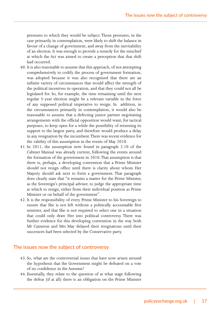pressures to which they would be subject. Those pressures, in the case primarily in contemplation, were likely to shift the balance in favour of a change of government, and away from the inevitability of an election. It was enough to provide a remedy for the mischief at which the Act was aimed to create a perception that that shift had occurred.

- 40. It is also reasonable to assume that this approach, of not attempting comprehensively to codify the process of government formation, was adopted because it was also recognised that there are an infinite variety of circumstances that would affect the strength of the political incentives in operation, and that they could not all be legislated for. So, for example, the time remaining until the next regular 5-year election might be a relevant variable in the force of any supposed political imperative to resign. In addition, in the circumstances primarily in contemplation, it would also be reasonable to assume that a defecting junior partner negotiating arrangements with the official opposition would want, for tactical purposes, to keep open for a while the possibility of returning its support to the largest party, and therefore would produce a delay in any resignation by the incumbent. There was recent evidence for the validity of this assumption in the events of May 2010.
- 41. In 2011, the assumption now found in paragraph 2.10 of the Cabinet Manual was already current, following the events around the formation of the government in 2010. That assumption is that there is, perhaps, a developing convention that a Prime Minister should not resign office until there is clarity about whom Her Majesty should ask next to form a government. That paragraph does clearly state that "it remains a matter for the Prime Minister, as the Sovereign's principal adviser, to judge the appropriate time at which to resign, either from their individual position as Prime Minister or on behalf of the government".
- 42. It is the responsibility of every Prime Minister to his Sovereign to ensure that She is not left without a politically accountable first minister, and that She is not required to select one in a situation that could only draw Her into political controversy. There was further evidence for this developing convention in the way both Mr Cameron and Mrs May delayed their resignations until their successors had been selected by the Conservative party.

#### **The issues now the subject of controversy**

- 43. So, what are the controversial issues that have now arisen around the hypothesis that the Government might be defeated on a vote of no confidence in the Autumn?
- 44. Essentially, they relate to the question of at what stage following the defeat (if at all) there is an obligation on the Prime Minister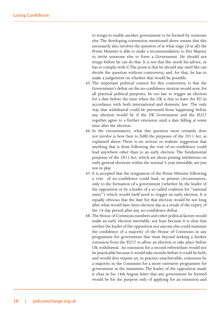to resign to enable another government to be formed by someone else. The developing convention mentioned above means that this necessarily also involves the question of at what stage (if at all) the Prime Minister is able to make a recommendation to Her Majesty to invite someone else to form a Government. He should not resign before he can do that. It is not that She needs his advice, or has to comply with it. The point is that he should stay until She can decide the question without controversy, and, for that, he has to make a judgement on whether that would be possible.

- 45. The important political context for this controversy is that the Government's defeat on the no-confidence motion would now, for all practical political purposes, be too late to trigger an election for a date before the time when the UK is due to leave the EU in accordance with both international and domestic law. The only way that withdrawal could be prevented from happening before any election would be if the UK Government and the EU27 together agree to a further extension until a date falling at some time after the election.
- 46. In the circumstances, what this question most certainly does not involve is how best to fulfil the purposes of the 2011 Act, as explained above. There is no serious or realistic suggestion that anything that is done following the vote of no-confidence could lead anywhere other than to an early election. The fundamental purposes of the 2011 Act, which are about putting inhibitions on early general elections within the normal 5-year timetable, are just not in play.
- 47. It is accepted that the resignation of the Prime Minister following a vote of no-confidence could lead, in present circumstances, only to the formation of a government (whether by the leader of the opposition or by a leader of a so-called coalition for "national unity") which would itself need to trigger an early election. It is equally obvious that the date for that election would be not long after what would have been election day as a result of the expiry of the 14-day period after any no-confidence defeat.
- 48. The House of Commons numbers and other political factors would make an early election inevitable, not least because it is clear that neither the leader of the opposition nor anyone else could maintain the confidence of a majority of the House of Commons in any programme for government that went beyond seeking a further extension from the EU27 to allow an election to take place before UK withdrawal. An extension for a second referendum would not be practicable because it would take months before it could be held, and would thus require an, in practice unachievable, consensus by a majority in the Commons for a more extensive programme for government in the meantime. The leader of the opposition made it clear in his 14th August letter that any government he formed would be for the purpose only of applying for an extension and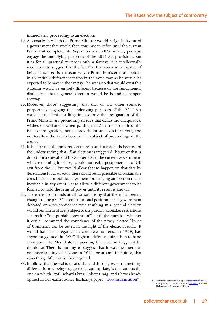immediately proceeding to an election.

- 49. A scenario in which the Prime Minister would resign in favour of a government that would then continue in office until the current Parliament completes its 5-year term in 2022 would, perhaps, engage the underlying purposes of the 2011 Act provisions. But it is for all practical purposes only a fantasy. It is intellectually incoherent to suggest that the fact that that scenario is capable of being fantasised is a reason why a Prime Minister must behave in an entirely different scenario in the same way as he would be expected to behave in the fantasy. The scenario that would exist this Autumn would be entirely different because of the fundamental distinction: that a general election would be bound to happen anyway.
- 50. Moreover, those<sup>5</sup> suggesting, that that or any other scenario purportedly engaging the underlying purposes of the 2011 Act could be the basis for litigation to force the resignation of the Prime Minister are promoting an idea that defies the unequivocal wishes of Parliament when passing that Act: not to address the issue of resignation, not to provide for an investiture vote, and not to allow the Act to become the subject of proceedings in the courts.
- 51. It is clear that the only reason there is an issue at all is because of the understanding that, if an election is triggered (however that is done) for a date after 31<sup>st</sup> October 2019, the current Government, while remaining in office, would not seek a postponement of UK exit from the EU but would allow that to happen on that date by default. But for that factor, there could be no plausible or sustainable constitutional or political argument for delaying an election that is inevitable in any event just to allow a different government to be formed to hold the reins of power until its result is known.
- 52. There are no grounds at all for supposing that there has been a change to the pre-2011 constitutional position: that a government defeated on a no-confidence vote resulting in a general election would remain in office (subject to the purdah/caretaker restrictions – hereafter "the purdah convention") until the question whether it could command the confidence of the newly elected House of Commons can be tested in the light of the election result. It would have been regarded as complete nonsense in 1979, had anyone suggested that Mr Callaghan's defeat required him to hand over power to Mrs Thatcher pending the election triggered by the defeat. There is nothing to suggest that it was the intention or understanding of anyone in 2011, or at any time since, that something different is now required.
- 53. It follows that the real issue at stake, and the only reason something different is now being suggested as appropriate, is the same as the one on which Prof Richard Ekins, Robert Craig and I have already opined in our earlier Policy Exchange paper "Lost in Transition". **5. Prof Mark Elliott** i**n his blog** "Public Law for Everyone"

**8 August 2019, points out** (**citing** a Tweet) **that Tom Hickman of UCL has suggested this.**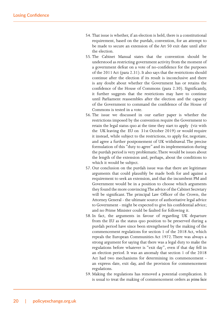- 54. That issue is whether, if an election is held, there is a constitutional requirement, based on the purdah, convention, for an attempt to be made to secure an extension of the Art 50 exit date until after the election.
- 55. The Cabinet Manual states that the convention should be understood as restricting government activity from the moment of a government defeat on a vote of no-confidence for the purposes of the 2011 Act (para 2.31). It also says that the restrictions should continue after the election if its result is inconclusive and there is any doubt about whether the Government has or retains the confidence of the House of Commons (para 2.30). Significantly, it further suggests that the restrictions may have to continue until Parliament reassembles after the election and the capacity of the Government to command the confidence of the House of Commons is tested in a vote.
- 56. The issue we discussed in our earlier paper is whether the restrictions imposed by the convention require the Government to retain the legal status quo at the time they start to apply (viz with the UK leaving the EU on 31st October 2019) or would require it instead, while subject to the restrictions, to apply for, negotiate, and agree a further postponement of UK withdrawal. The precise formulation of this "duty to agree" and its implementation during the purdah period is very problematic. There would be issues about the length of the extension and, perhaps, about the conditions to which it would be subject.
- 57. Our conclusion on the purdah issue was that there are legitimate arguments that could plausibly be made both for and against a requirement to seek an extension, and that the incumbent PM and Government would be in a position to choose which arguments they found the more convincing. The advice of the Cabinet Secretary will be significant. The principal Law Officer of the Crown, the Attorney General - the ultimate source of authoritative legal advice to Government - might be expected to give his confidential advice; and no Prime Minister could be faulted for following it.
- 58. In fact, the arguments in favour of regarding UK departure from the EU as the status quo position to be preserved during a purdah period have since been strengthened by the making of the commencement regulations for section 1 of the 2018 Act, which repeals the European Communities Act 1972. There was always a strong argument for saying that there was a legal duty to make the regulations before whatever is "exit day", even if that day fell in an election period. It was an anomaly that section 1 of the 2018 Act had two mechanisms for determining its commencement an express date, exit day, and the provision for commencement regulations.
- 59. Making the regulations has removed a potential complication. It is usual to treat the making of commencement orders as *prima facie*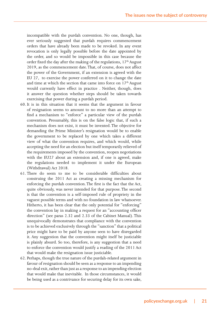incompatible with the purdah convention. No one, though, has ever seriously suggested that purdah requires commencement orders that have already been made to be revoked. In any event revocation is only legally possible before the date appointed by the order, and so would be impossible in this case because the order fixed the day after the making of the regulations,  $17<sup>th</sup>$  August 2019, as the commencement date. That, of course, does not affect the power of the Government, if an extension is agreed with the EU 27, to exercise the power conferred on it to change the date and time at which the section that came into force on  $17<sup>th</sup>$  August would currently have effect in practice . Neither, though, does it answer the question whether steps should be taken towards exercising that power during a purdah period.

- 60. It is in this situation that it seems that the argument in favour of resignation seems to amount to no more than an attempt to find a mechanism to "enforce" a particular view of the purdah convention. Presumably, this is on the false logic that, if such a mechanism does not exist, it must be invented. The objective for demanding the Prime Minister's resignation would be to enable the government to be replaced by one which takes a different view of what the convention requires, and which would, while accepting the need for an election but itself temporarily relieved of the requirements imposed by the convention, reopen negotiations with the EU27 about an extension and, if one is agreed, make the regulations needed to implement it under the European (Withdrawal) Act 2018.
- 61. There do seem to me to be considerable difficulties about construing the 2011 Act as creating a missing mechanism for enforcing the purdah convention. The first is the fact that the Act, quite obviously, was never intended for that purpose. The second is that the convention is a self-imposed rule of propriety in the vaguest possible terms and with no foundation in law whatsoever. Hitherto, it has been clear that the only potential for "enforcing" the convention lay in making a request for an "accounting officer direction" (see paras 2.32 and 2.33 of the Cabinet Manual). This unequivocally demonstrates that compliance with the convention is to be achieved exclusively through the "sanction" that a political price might have to be paid by anyone seen to have disregarded it. Any suggestion that the convention might itself be justiciable is plainly absurd. So too, therefore, is any suggestion that a need to enforce the convention would justify a reading of the 2011 Act that would make the resignation issue justiciable.
- 62. Perhaps, though the true nature of the purdah-related argument in favour of resignation should be seen as a response to an impending no-deal exit, rather than just as a response to an impending election that would make that inevitable. In those circumstances, it would be being used as a contrivance for securing delay for its own sake,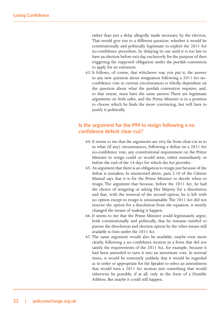rather than just a delay allegedly made necessary by the election. That would give rise to a different question: whether it would be constitutionally and politically legitimate to exploit the 2011 Act no-confidence procedure, by delaying its use until it is too late to have an election before exit day, exclusively for the purpose of then triggering the supposed obligation under the purdah convention to apply for an extension.

63. It follows, of course, that whichever way you put it, the answer to any new question about resignation following a 2011 Act noconfidence vote in current circumstances is wholly dependent on the question about what the purdah convention requires; and, to that extent, must have the same answer. There are legitimate arguments on both sides, and the Prime Minister is in a position to choose which he finds the more convincing, but will have to justify it politically.

### **Is the argument for the PM to resign following a no confidence defeat clear-cut?**

- 64. It seems to me that the arguments are very far from clear-cut as to in what (if any) circumstances, following a defeat on a 2011 Act no-confidence vote, any constitutional requirement on the Prime Minister to resign could or would arise, either immediately or before the end of the 14 days for which the Act provides.
- 65. An argument that there is an obligation to resign just because of the defeat is mistaken. As mentioned above, para 2.10 of the Cabinet Manual says that it is for the Prime Minister to decide when to resign. The argument that because, before the 2011 Act, he had the choice of resigning or asking Her Majesty for a dissolution and that, with the removal of the second option, he is left with no option except to resign is unsustainable. The 2011 Act did not remove the option for a dissolution from the equation, it merely changed the means of making it happen.
- 66. It seems to me that the Prime Minister could legitimately argue, both constitutionally and politically, that he remains entitled to pursue the dissolution and election option by the other means still available to him under the 2011 Act.
- 67. The same argument would also be available, maybe even more clearly, following a no-confidence motion in a form that did not satisfy the requirements of the 2011 Act, for example, because it had been amended to turn it into an investiture vote. In normal times, it would be extremely unlikely that it would be regarded as in order or appropriate for the Speaker to select an amendment that would turn a 2011 Act motion into something that would otherwise be possible, if at all, only in the form of a Humble Address. But maybe it could still happen.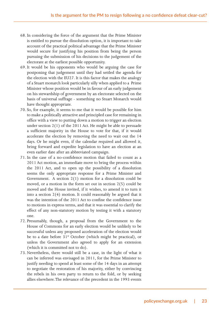- 68. In considering the force of the argument that the Prime Minister is entitled to pursue the dissolution option, it is important to take account of the practical political advantage that the Prime Minister would secure for justifying his position from being the person pursuing the submission of his decisions to the judgement of the electorate at the earliest possible opportunity.
- 69. It would be his opponents who would be arguing the case for postponing that judgement until they had settled the agenda for the election with the EU27. It is this factor that makes the analogy of a Stuart monarch look particularly silly when applied to a Prime Minister whose position would be in favour of an early judgement on his stewardship of government by an electorate selected on the basis of universal suffrage - something no Stuart Monarch would have thought appropriate.
- 70. So, for example, it seems to me that it would be possible for him to make a politically attractive and principled case for remaining in office with a view to putting down a motion to trigger an election under section 2(1) of the 2011 Act. He might be able to persuade a sufficient majority in the House to vote for that, if it would accelerate the election by removing the need to wait out the 14 days. Or he might even, if the calendar required and allowed it, bring forward and expedite legislation to have an election at an even earlier date after an abbreviated campaign.
- 71. In the case of a no-confidence motion that failed to count as a 2011 Act motion, an immediate move to bring the process within the 2011 Act, and to open up the possibility of a dissolution seems the only appropriate response for a Prime Minister and Government. A section 2(1) motion for a dissolution could be moved, or a motion in the form set out in section 2(5) could be moved and the House invited, if it wishes, to amend it to turn it into a section 2(4) motion. It could reasonably be argued that it was the intention of the 2011 Act to confine the confidence issue to motions in express terms, and that it was essential to clarify the effect of any non-statutory motion by testing it with a statutory one.
- 72. Presumably, though, a proposal from the Government to the House of Commons for an early election would be unlikely to be successful unless any proposed acceleration of the election would be to a date before 31<sup>st</sup> October (which might be practical), or unless the Government also agreed to apply for an extension (which it is committed not to do).
- 73. Nevertheless, there would still be a case, in the light of what it can be inferred was envisaged in 2011, for the Prime Minister to justify needing to spend at least some of the 14 days in an attempt to negotiate the restoration of his majority, either by convincing the rebels in his own party to return to the fold, or by seeking allies elsewhere. The relevance of the precedent in the 1993 events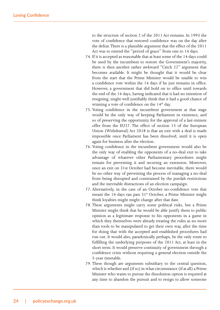to the structure of section 2 of the 2011 Act remains. In 1993 the vote of confidence that restored confidence was on the day after the defeat. There is a plausible argument that the effect of the 2011 Act was to extend the "period of grace" from one to 14 days.

- 74. If it is accepted as reasonable that at least some of the 14 days could be used by the incumbent to restore the Government's majority, there is then another rather awkward "Catch 22" argument that becomes available. It might be thought that it would be clear from the start that the Prime Minister would be unable to win a confidence vote within the 14 days if he just remains in office. However, a government that did hold on to office until towards the end of the 14 days, having indicated that it had no intention of resigning, might well justifiably think that it had a good chance of winning a vote of confidence on the  $14<sup>th</sup>$  day.
- 75. Voting confidence in the incumbent government at that stage would be the only way of keeping Parliament in existence, and so of preserving the opportunity for the approval of a last-minute offer from the EU27. The effect of section 13 of the European Union (Withdrawal) Act 2018 is that an exit with a deal is made impossible once Parliament has been dissolved, until it is open again for business after the election.
- 76. Voting confidence in the incumbent government would also be the only way of enabling the opponents of a no-deal exit to take advantage of whatever other Parliamentary procedures might remain for preventing it and securing an extension. Moreover, once an exit on 31st October had become inevitable, there would be no other way of preventing the process of managing a no-deal from being disrupted and constrained by the purdah restrictions and the inevitable distractions of an election campaign.
- 77. Alternatively, in the case of an October no-confidence vote that meant the 14 days ran past  $31<sup>st</sup>$  October, a Prime Minister might think loyalties might might change after that date.
- 78. These arguments might carry some political risks, but a Prime Minister might think that he would be able justify them to public opinion as a legitimate response to his opponents in a game in which they themselves were already treating the rules as no more than tools to be manipulated to get their own way, after the time for doing that with the accepted and established procedures had run out. It would also, paradoxically perhaps, be the only route to fulfilling the underlying purposes of the 2011 Act, at least in the short term. It would preserve continuity of government through a confidence crisis without requiring a general election outside the 5-year timetable.
- 79. These though are arguments subsidiary to the central question, which is whether and (if so) in what circumstance (if at all) a Prime Minister who wants to pursue the dissolution option is required at any time to abandon the pursuit and to resign to allow someone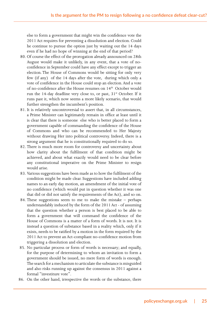else to form a government that might win the confidence vote the 2011 Act requires for preventing a dissolution and election. Could he continue to pursue the option just by waiting out the 14 days even if he had no hope of winning at the end of that period?

- 80. Of course the effect of the prorogation already announced on 28th August would make it unlikely, in any event, that a vote of noconfidence in September could have any effect except to trigger an election. The House of Commons would be sitting for only very few (if any) of the 14 days after the vote, during which only a vote of confidence in the House could stop an election. And a vote of no-confidence after the House resumes on 14<sup>th</sup> October would run the 14-day deadline very close to, or past, 31<sup>st</sup> October. If it runs past it, which now seems a more likely scenario, that would further strengthen the incumbent's position.
- 81. It is relatively uncontroversial to assert that, in all circumstances, a Prime Minister can legitimately remain in office at least until it is clear that there is someone else who is better placed to form a government capable of commanding the confidence of the House of Commons and who can be recommended to Her Majesty without drawing Her into political controversy. Indeed, there is a strong argument that he is constitutionally required to do so.
- 82. There is much more room for controversy and uncertainty about how clarity about the fulfilment of that condition might be achieved, and about what exactly would need to be clear before any constitutional imperative on the Prime Minister to resign would arise.
- 83. Various suggestions have been made as to how the fulfilment of the condition might be made clear. Suggestions have included adding names to an early day motion, an amendment of the initial vote of no confidence (which would put in question whether it was one that did or did not satisfy the requirements of the Act), and so on.
- 84. These suggestions seem to me to make the mistake perhaps understandably induced by the form of the 2011 Act - of assuming that the question whether a person is best placed to be able to form a government that will command the confidence of the House of Commons is a matter of a form of words. It is not. It is instead a question of substance based in a reality which, only if it exists, needs to be ratified by a motion in the form required by the 2011 Act to prevent an Act-compliant no-confidence motion from triggering a dissolution and election.
- 85. No particular process or form of words is necessary; and equally, for the purpose of determining to whom an invitation to form a government should be issued, no mere form of words is enough. The search for a mechanism to articulate the substance is misguided and also risks running up against the consensus in 2011 against a formal "investiture vote".
- 86. On the other hand, irrespective the words or the substance, there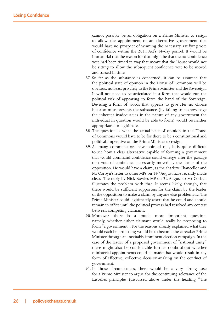cannot possibly be an obligation on a Prime Minister to resign to allow the appointment of an alternative government that would have no prospect of winning the necessary, ratifying vote of confidence within the 2011 Act's 14-day period. It would be immaterial that the reason for that might be that the no-confidence vote had been timed in way that meant that the House would not be sitting to allow the subsequent confidence vote to be moved and passed in time.

- 87. So far as the substance is concerned, it can be assumed that the political state of opinion in the House of Commons will be obvious, not least privately to the Prime Minister and the Sovereign. It will not need to be articulated in a form that would run the political risk of appearing to force the hand of the Sovereign. Devising a form of words that appears to give Her no choice but also misrepresents the substance (by failing to acknowledge the inherent inadequacies in the nature of any government the individual in question would be able to form) would be neither appropriate nor legitimate.
- 88. The question is what the actual state of opinion in the House of Commons would have to be for there to be a constitutional and political imperative on the Prime Minister to resign.
- 89. As many commentators have pointed out, it is quite difficult to see how a clear alternative capable of forming a government that would command confidence could emerge after the passage of a vote of confidence necessarily moved by the leader of the opposition. He would have a claim, as the shadow Chancellor and Mr Corbyn's letter to other MPs on 14<sup>th</sup> August have recently made clear. The reply by Nick Bowles MP on 22 August to Mr Corbyn illustrates the problem with that. It seems likely, though, that there would be sufficient supporters for the claim by the leader of the opposition to make a claim by anyone else problematic. The Prime Minister could legitimately assert that he could and should remain in office until the political process had resolved any contest between competing claimants.
- 90. Moreover, there is a much more important question, namely, whether either claimant would really be proposing to form "a government". For the reasons already explained what they would each be proposing would be to become the caretaker Prime Minister through an inevitably imminent election campaign. In the case of the leader of a proposed government of "national unity" there might also be considerable further doubt about whether ministerial appointments could be made that would result in any form of effective, collective decision-making on the conduct of government.
- 91. In those circumstances, there would be a very strong case for a Prime Minister to argue for the continuing relevance of the Lascelles principles (discussed above under the heading "The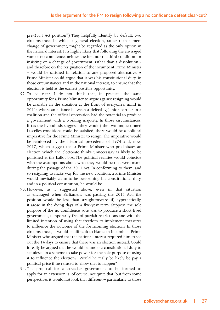pre-2011 Act position") They helpfully identify, by default, two circumstances in which a general election, rather than a mere change of government, might be regarded as the only option in the national interest. It is highly likely that following the envisaged vote of no confidence, neither the first nor the third condition for insisting on a change of government, rather than a dissolution and therefore on the resignation of the incumbent Prime Minister – would be satisfied in relation to any proposed alternative. A Prime Minister could argue that it was his constitutional duty, in those circumstances and in the national interest, to ensure that the election is held at the earliest possible opportunity.

- 92. To be clear, I do not think that, in practice, the same opportunity for a Prime Minister to argue against resigning would be available in the situation at the front of everyone's mind in 2011: where an alliance between a defecting junior partner in a coalition and the official opposition had the potential to produce a government with a working majority. In those circumstances, if (as the hypothesis suggests they would) the two unquestioned Lascelles conditions could be satisfied, there would be a political imperative for the Prime Minister to resign. The imperative would be reinforced by the historical precedents of 1974 and, now, 2017, which suggest that a Prime Minister who precipitates an election which the electorate thinks unnecessary is likely to be punished at the ballot box. The political realities would coincide with the assumptions about what they would be that were made during the passage of the 2011 Act. In conforming to them, and so resigning to make way for the new coalition, a Prime Minister would inevitably claim to be performing his constitutional duty, and in a political constitution, he would be.
- 93. However, as I suggested above, even in that situation as envisaged when Parliament was passing the 2011 Act, the position would be less than straightforward if, hypothetically, it arose in the dying days of a five-year term. Suppose the sole purpose of the no-confidence vote was to produce a short-lived government, temporarily free of purdah restrictions and with the limited intention of using that freedom to implement measures to influence the outcome of the forthcoming election? In those circumstances, it would be difficult to blame an incumbent Prime Minister who argued that the national interest required him to see out the 14 days to ensure that there was an election instead. Could it really be argued that he would be under a constitutional duty to acquiesce in a scheme to take power for the sole purpose of using it to influence the election? Would he really be likely be pay a political price if he refused to allow that to happen?
- 94. The proposal for a caretaker government to be formed to apply for an extension is, of course, not quite that; but from some perspectives it would not look that different – particularly to those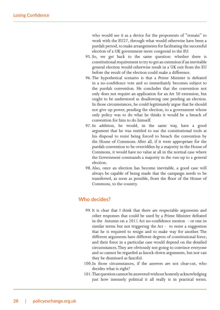who would see it as a device for the proponents of "remain" to work with the EU27, through what would otherwise have been a purdah period, to make arrangements for facilitating the successful election of a UK government more congenial to the EU.

- 95. So, we get back to the same question: whether there is constitutional requirement to try to get an extension if an inevitable general election would otherwise result in a UK exit from the EU before the result of the election could make a difference.
- 96. The hypothetical scenario is that a Prime Minister is defeated in a no-confidence vote and so immediately becomes subject to the purdah convention. He concludes that the convention not only does not require an application for an Art 50 extension, but ought to be understood as disallowing one pending an election. In those circumstances, he could legitimately argue that he should not give up power, pending the election, to a government whose only policy was to do what he thinks it would be a breach of convention for him to do himself.
- 97. In addition, he would, in the same way, have a good argument that he was entitled to use the constitutional tools at his disposal to resist being forced to breach the convention by the House of Commons. After all, if it were appropriate for the purdah convention to be overridden by a majority in the House of Commons, it would have no value at all in the normal case where the Government commands a majority in the run-up to a general election.
- 98. Also, once an election has become inevitable, a good case will always be capable of being made that the campaign needs to be transferred, as soon as possible, from the floor of the House of Commons, to the country.

#### **Who decides?**

- 99. It is clear that I think that there are respectable arguments and other responses that could be used by a Prime Minister defeated in the Autumn on a 2011 Act no-confidence motion - or one in similar terms but not triggering the Act - to resist a suggestion that he is required to resign and to make way for another. The different arguments have different degrees of constitutional force; and their force in a particular case would depend on the detailed circumstances. They are obviously not going to convince everyone and so cannot be regarded as knock-down arguments, but nor can they be dismissed as fanciful.
- 100.In those circumstances, if the answers are not clear-cut, who decides what is right?
- 101.That question cannot be answered without honestly acknowledging just how intensely political it all really is in practical terms.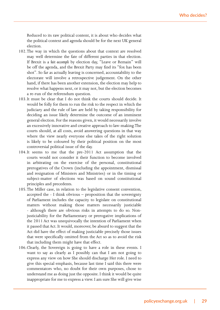Reduced to its raw political content, it is about who decides what the political context and agenda should be for the next UK general election.

- 102.The way in which the questions about that context are resolved may well determine the fate of different parties in that election. If Brexit is a *fait accompli* by election day, "Leave or Remain" will be off the agenda, and the Brexit Party may find its "fox has been shot". So far as actually leaving is concerned, accountability to the electorate will involve a retrospective judgement. On the other hand, if there has been another extension, the election may help to resolve what happens next, or it may not, but the election becomes a re-run of the referendum question.
- 103.It must be clear that I do not think the courts should decide. It would be folly for them to run the risk to the respect in which the judiciary and the rule of law are held by taking responsibility for deciding an issue likely determine the outcome of an imminent general election. For the reasons given, it would necessarily involve an excessively innovative and creative approach to law-making. The courts should, at all costs, avoid answering questions in that way where the view nearly everyone else takes of the right solution is likely to be coloured by their political position on the most controversial political issue of the day.
- 104.It seems to me that the pre-2011 Act assumption that the courts would not consider it their function to become involved in arbitrating on the exercise of the personal, constitutional prerogatives of the Crown (including the appointment, dismissal and resignation of Ministers and Ministries) or in the timing or subject-matter of elections was based on sound constitutional principles and precedents.
- 105.The Miller case, in relation to the legislative consent convention, accepted the - I think obvious – proposition that the sovereignty of Parliament includes the capacity to legislate on constitutional matters without making those matters necessarily justiciable - although there are obvious risks in attempts to do so. Nonjusticiability for the Parliamentary or prerogative implications of the 2011 Act was unequivocally the intention of Parliament when it passed that Act. It would, moreover, be absurd to suggest that the Act did have the effect of making justiciable precisely those issues that were specifically omitted from the Act so as to avoid the risk that including them might have that effect.
- 106.Clearly, the Sovereign is going to have a role in these events. I want to say as clearly as I possibly can that I am not going to express any view on how She should discharge Her role. I need to give this special emphasis, because last time I said this there were commentators who, no doubt for their own purposes, chose to understand me as doing just the opposite. I think it would be quite inappropriate for me to express a view. I am sure She will give wise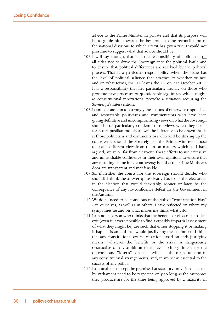advice to the Prime Minister in private and that its purpose will be to guide him towards the best route to the reconciliation of the national divisions to which Brexit has given rise. I would not presume to suggest what that advice should be.

- 107.I will say, though, that it is the responsibility of politicians on all sides not to draw the Sovereign into the political battle and to ensure that political differences are resolved by the political process. That is a particular responsibility when the issue has the level of political salience that attaches to whether or not, and on what terms, the UK leaves the EU on 31<sup>st</sup> October 2019. It is a responsibility that lies particularly heavily on those who promote new processes of questionable legitimacy which might, as constitutional innovations, provoke a situation requiring the Sovereign's intervention.
- 108.I cannot condemn too strongly the actions of otherwise responsible and respectable politicians and commentators who have been giving definitive and uncompromising views on what the Sovereign should do. I particularly condemn those views when they take a form that pusillanimously allows the inference to be drawn that it is those politicians and commentators who will be stirring up the controversy should the Sovereign or the Prime Minister choose to take a different view from them on matters which, as I have argued, are very far from clear-cut. These efforts to use excessive and unjustifiable confidence in their own opinions to ensure that any resulting blame for a controversy is laid at the Prime Minister's door are transparent and indefensible.
- 109.So, if neither the courts nor the Sovereign should decide, who should? I think the answer quite clearly has to be the electorate: in the election that would inevitably, sooner or later, be the consequence of any no-confidence defeat for the Government in the Autumn.
- 110.We do all need to be conscious of the risk of "confirmation bias" - in ourselves, as well as in others. I have reflected on where my sympathies lie and on what makes me think what I do.
- 111.I am not a person who thinks that the benefits or risks of a no-deal exit (even if it were possible to find a credibly impartial assessment of what they might be) are such that either stopping it or making it happen is an end that would justify any means. Indeed, I think that any constitutional course of action based on ends justifying means (whatever the benefits or the risks) is dangerously destructive of any ambition to achieve both legitimacy for the outcome and "loser's" consent - which is the main function of any constitutional arrangements, and, in my view, essential to the success of any policy.
- 112.I am unable to accept the premise that statutory provisions enacted by Parliament need to be respected only so long as the outcomes they produce are for the time being approved by a majority in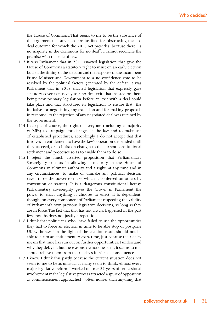the House of Commons. That seems to me to be the substance of the argument that any steps are justified for obstructing the nodeal outcome for which the 2018 Act provides, because there "is no majority in the Commons for no deal". I cannot reconcile the premise with the rule of law.

- 113.It was Parliament that in 2011 enacted legislation that gave the House of Commons a statutory right to insist on an early election but left the timing of the election and the response of the incumbent Prime Minister and Government to a no-confidence vote to be resolved by the political factors generated by the defeat. It was Parliament that in 2018 enacted legislation that expressly gave statutory cover exclusively to a no-deal exit, that insisted on there being new primary legislation before an exit with a deal could take place and that structured its legislation to ensure that the initiative for negotiating any extension and for making proposals in response to the rejection of any negotiated deal was retained by the Government.
- 114.I accept, of course, the right of everyone (including a majority of MPs) to campaign for changes in the law and to make use of established procedures, accordingly. I do not accept that that involves an entitlement to have the law's operation suspended until they succeed, or to insist on changes to the current constitutional settlement and processes so as to enable them to do so.
- 115.I reject the much asserted proposition that Parliamentary Sovereignty consists in allowing a majority in the House of Commons an ultimate authority and a right, at any time and in any circumstances, to make or unmake any political decision (even those the power to make which is conferred on others by convention or statute). It is a dangerous constitutional heresy. Parliamentary sovereignty gives the Crown in Parliament the power to enact anything it chooses to enact. It is dependent, though, on every component of Parliament respecting the validity of Parliament's own previous legislative decisions, so long as they are in force. The fact that that has not always happened in the past few months does not justify a repetition
- 116.I think that politicians who have failed to use the opportunities they had to force an election in time to be able stop or postpone UK withdrawal in the light of the election result should not be able to claim an entitlement to extra time, just because their delay means that time has run out on further opportunities. I understand why they delayed, but the reasons are not ones that, it seems to me, should relieve them from their delay's inevitable consequences.
- 117.I know I think this partly because the current situation does not seem to me to be as unusual as many seem to think. Almost every major legislative reform I worked on over 37 years of professional involvement in the legislative process attracted a spurt of opposition as commencement approached - often noisier than anything that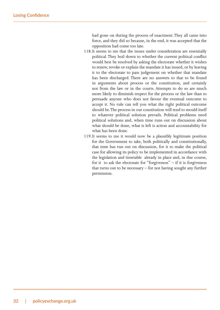had gone on during the process of enactment. They all came into force, and they did so because, in the end, it was accepted that the opposition had come too late.

- 118.It seems to me that the issues under consideration are essentially political. They boil down to whether the current political conflict would best be resolved by asking the electorate whether it wishes to renew, revoke or explain the mandate it has issued, or by leaving it to the electorate to pass judgement on whether that mandate has been discharged. There are no answers to that to be found in arguments about process or the constitution, and certainly not from the law or in the courts. Attempts to do so are much more likely to diminish respect for the process or the law than to persuade anyone who does not favour the eventual outcome to accept it. No rule can tell you what the right political outcome should be. The process in our constitution will tend to mould itself to whatever political solution prevails. Political problems need political solutions and, when time runs out on discussion about what should be done, what is left is action and accountability for what has been done.
- 119.It seems to me it would now be a plausibly legitimate position for the Government to take, both politically and constitutionally, that time has run out on discussion, for it to make the political case for allowing its policy to be implemented in accordance with the legislation and timetable already in place and, in due course, for it to ask the electorate for "forgiveness" – if it is forgiveness that turns out to be necessary – for not having sought any further permission.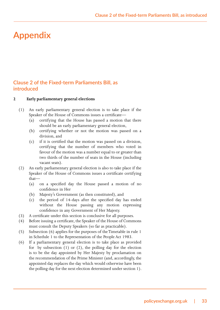## **Appendix**

#### **Clause 2 of the Fixed-term Parliaments Bill, as introduced**

**2 Early parliamentary general elections**

- (1) An early parliamentary general election is to take place if the Speaker of the House of Commons issues a certificate—
	- (a) certifying that the House has passed a motion that there should be an early parliamentary general election,
	- (b) certifying whether or not the motion was passed on a division, and
	- (c) if it is certified that the motion was passed on a division, certifying that the number of members who voted in favour of the motion was a number equal to or greater than two thirds of the number of seats in the House (including vacant seats).
- (2) An early parliamentary general election is also to take place if the Speaker of the House of Commons issues a certificate certifying that—
	- (a) on a specified day the House passed a motion of no confidence in Her
	- (b) Majesty's Government (as then constituted), and
	- (c) the period of 14-days after the specified day has ended without the House passing any motion expressing confidence in any Government of Her Majesty.
- (3) A certificate under this section is conclusive for all purposes.
- (4) Before issuing a certificate, the Speaker of the House of Commons must consult the Deputy Speakers (so far as practicable).
- (5) Subsection (6) applies for the purposes of the Timetable in rule 1 in Schedule 1 to the Representation of the People Act 1983.
- (6) If a parliamentary general election is to take place as provided for by subsection  $(1)$  or  $(2)$ , the polling day for the election is to be the day appointed by Her Majesty by proclamation on the recommendation of the Prime Minister (and, accordingly, the appointed day replaces the day which would otherwise have been the polling day for the next election determined under section 1).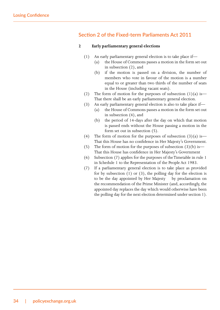#### **Section 2 of the Fixed-term Parliaments Act 2011**

#### **2 Early parliamentary general elections**

- (1) An early parliamentary general election is to take place if—
	- (a) the House of Commons passes a motion in the form set out in subsection (2), and
	- (b) if the motion is passed on a division, the number of members who vote in favour of the motion is a number equal to or greater than two thirds of the number of seats in the House (including vacant seats).
- (2) The form of motion for the purposes of subsection  $(1)(a)$  is— That there shall be an early parliamentary general election.
- (3) An early parliamentary general election is also to take place if—
	- (a) the House of Commons passes a motion in the form set out in subsection (4), and
	- (b) the period of 14-days after the day on which that motion is passed ends without the House passing a motion in the form set out in subsection (5).
- (4) The form of motion for the purposes of subsection  $(3)(a)$  is— That this House has no confidence in Her Majesty's Government.
- (5) The form of motion for the purposes of subsection  $(3)(b)$  is— That this House has confidence in Her Majesty's Government
- (6) Subsection (7) applies for the purposes of the Timetable in rule 1 in Schedule 1 to the Representation of the People Act 1983.
- (7) If a parliamentary general election is to take place as provided for by subsection (1) or (3), the polling day for the election is to be the day appointed by Her Majesty by proclamation on the recommendation of the Prime Minister (and, accordingly, the appointed day replaces the day which would otherwise have been the polling day for the next election determined under section 1).